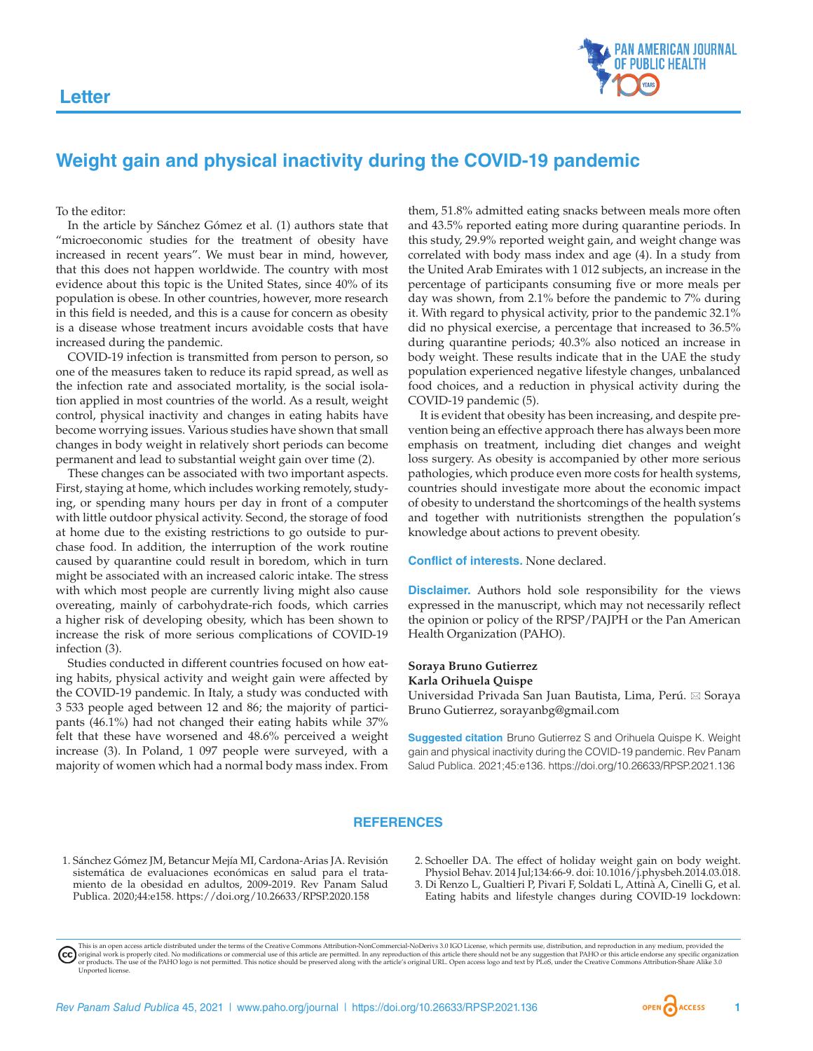

## **Weight gain and physical inactivity during the COVID-19 pandemic**

To the editor:

In the article by Sánchez Gómez et al. (1) authors state that "microeconomic studies for the treatment of obesity have increased in recent years". We must bear in mind, however, that this does not happen worldwide. The country with most evidence about this topic is the United States, since 40% of its population is obese. In other countries, however, more research in this field is needed, and this is a cause for concern as obesity is a disease whose treatment incurs avoidable costs that have increased during the pandemic.

COVID-19 infection is transmitted from person to person, so one of the measures taken to reduce its rapid spread, as well as the infection rate and associated mortality, is the social isolation applied in most countries of the world. As a result, weight control, physical inactivity and changes in eating habits have become worrying issues. Various studies have shown that small changes in body weight in relatively short periods can become permanent and lead to substantial weight gain over time (2).

These changes can be associated with two important aspects. First, staying at home, which includes working remotely, studying, or spending many hours per day in front of a computer with little outdoor physical activity. Second, the storage of food at home due to the existing restrictions to go outside to purchase food. In addition, the interruption of the work routine caused by quarantine could result in boredom, which in turn might be associated with an increased caloric intake. The stress with which most people are currently living might also cause overeating, mainly of carbohydrate-rich foods, which carries a higher risk of developing obesity, which has been shown to increase the risk of more serious complications of COVID-19 infection (3).

Studies conducted in different countries focused on how eating habits, physical activity and weight gain were affected by the COVID-19 pandemic. In Italy, a study was conducted with 3 533 people aged between 12 and 86; the majority of participants (46.1%) had not changed their eating habits while 37% felt that these have worsened and 48.6% perceived a weight increase (3). In Poland, 1 097 people were surveyed, with a majority of women which had a normal body mass index. From

them, 51.8% admitted eating snacks between meals more often and 43.5% reported eating more during quarantine periods. In this study, 29.9% reported weight gain, and weight change was correlated with body mass index and age (4). In a study from the United Arab Emirates with 1 012 subjects, an increase in the percentage of participants consuming five or more meals per day was shown, from 2.1% before the pandemic to 7% during it. With regard to physical activity, prior to the pandemic 32.1% did no physical exercise, a percentage that increased to 36.5% during quarantine periods; 40.3% also noticed an increase in body weight. These results indicate that in the UAE the study population experienced negative lifestyle changes, unbalanced food choices, and a reduction in physical activity during the COVID-19 pandemic (5).

It is evident that obesity has been increasing, and despite prevention being an effective approach there has always been more emphasis on treatment, including diet changes and weight loss surgery. As obesity is accompanied by other more serious pathologies, which produce even more costs for health systems, countries should investigate more about the economic impact of obesity to understand the shortcomings of the health systems and together with nutritionists strengthen the population's knowledge about actions to prevent obesity.

**Conflict of interests.** None declared.

**Disclaimer.** Authors hold sole responsibility for the views expressed in the manuscript, which may not necessarily reflect the opinion or policy of the RPSP/PAJPH or the Pan American Health Organization (PAHO).

## **Soraya Bruno Gutierrez Karla Orihuela Quispe**

Universidad Privada San Juan Bautista, Lima, Perú. ⊠ Soraya Bruno Gutierrez, [sorayanbg@gmail.com](mailto:sorayanbg@gmail.com)

**Suggested citation** Bruno Gutierrez S and Orihuela Quispe K. Weight gain and physical inactivity during the COVID-19 pandemic. Rev Panam Salud Publica. 2021;45:e136.<https://doi.org/10.26633/RPSP.2021.136>

## **REFERENCES**

- 1. Sánchez Gómez JM, Betancur Mejía MI, Cardona-Arias JA. Revisión sistemática de evaluaciones económicas en salud para el tratamiento de la obesidad en adultos, 2009-2019. Rev Panam Salud Publica. 2020;44:e158.<https://doi.org/10.26633/RPSP.2020.158>
- 2. Schoeller DA. The effect of holiday weight gain on body weight. Physiol Behav. 2014 Jul;134:66-9. doi: 10.1016/j.physbeh.2014.03.018.
- 3. Di Renzo L, Gualtieri P, Pivari F, Soldati L, Attinà A, Cinelli G, et al. Eating habits and lifestyle changes during COVID-19 lockdown:

This is an open access article distributed under the terms of the [Creative Commons Attribution-NonCommercial-NoDerivs 3.0 IGO](https://creativecommons.org/licenses/by-nc-nd/3.0/igo/legalcode) License, which permits use, distribution, and reproduction in any medium, provided the (cc) original work is properly cited. No modifications or commercial use of this article are permitted. In any reproduction of this article there should not be any suggestion that PAHO or this article endorse any specific organ [Unported](https://creativecommons.org/licenses/by-sa/3.0/deed.en) license.